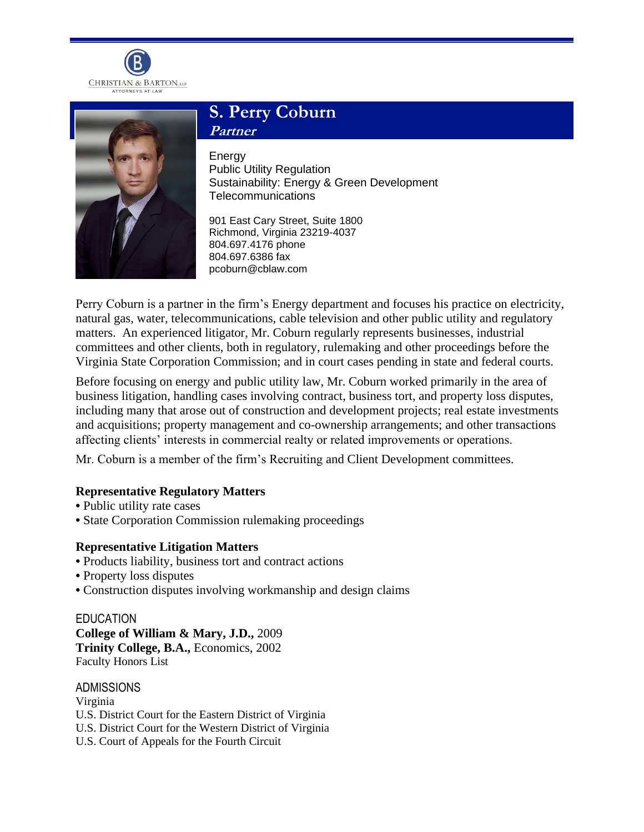



# **S. Perry Coburn Partner**

Energy Public Utility Regulation Sustainability: Energy & Green Development **Telecommunications** 

901 East Cary Street, Suite 1800 Richmond, Virginia 23219-4037 804.697.4176 phone 804.697.6386 fax pcoburn@cblaw.com

Perry Coburn is a partner in the firm's Energy department and focuses his practice on electricity, natural gas, water, telecommunications, cable television and other public utility and regulatory matters. An experienced litigator, Mr. Coburn regularly represents businesses, industrial committees and other clients, both in regulatory, rulemaking and other proceedings before the Virginia State Corporation Commission; and in court cases pending in state and federal courts.

Before focusing on energy and public utility law, Mr. Coburn worked primarily in the area of business litigation, handling cases involving contract, business tort, and property loss disputes, including many that arose out of construction and development projects; real estate investments and acquisitions; property management and co-ownership arrangements; and other transactions affecting clients' interests in commercial realty or related improvements or operations.

Mr. Coburn is a member of the firm's Recruiting and Client Development committees.

# **Representative Regulatory Matters**

- **•** Public utility rate cases
- **•** State Corporation Commission rulemaking proceedings

# **Representative Litigation Matters**

- **•** Products liability, business tort and contract actions
- **•** Property loss disputes
- **•** Construction disputes involving workmanship and design claims

**EDUCATION College of William & Mary, J.D.,** 2009 **Trinity College, B.A.,** Economics, 2002 Faculty Honors List

ADMISSIONS Virginia U.S. District Court for the Eastern District of Virginia U.S. District Court for the Western District of Virginia U.S. Court of Appeals for the Fourth Circuit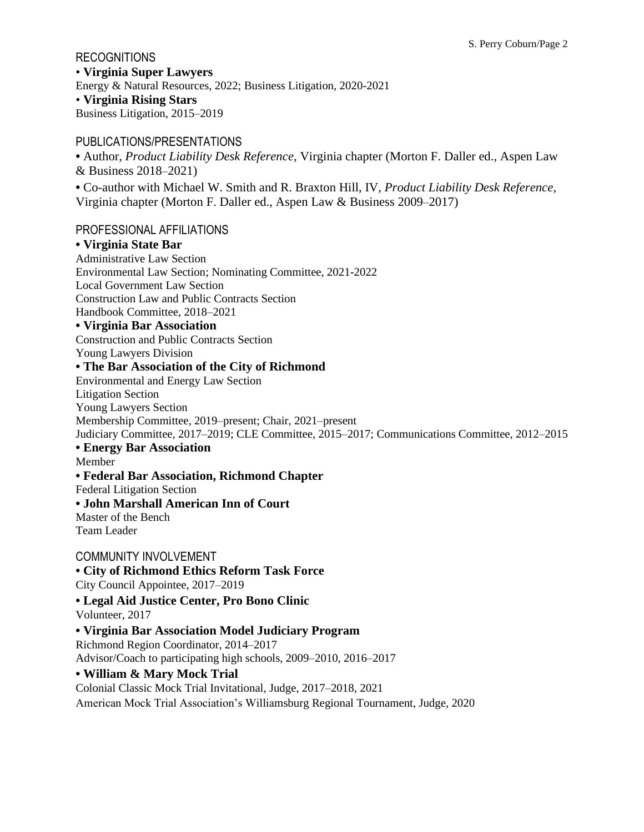## RECOGNITIONS

• **Virginia Super Lawyers** Energy & Natural Resources, 2022; Business Litigation, 2020-2021 • **Virginia Rising Stars** Business Litigation, 2015–2019

## PUBLICATIONS/PRESENTATIONS

**•** Author, *Product Liability Desk Reference*, Virginia chapter (Morton F. Daller ed., Aspen Law & Business 2018–2021)

**•** Co-author with Michael W. Smith and R. Braxton Hill, IV, *Product Liability Desk Reference*, Virginia chapter (Morton F. Daller ed., Aspen Law & Business 2009–2017)

#### PROFESSIONAL AFFILIATIONS

#### **• Virginia State Bar**

Administrative Law Section Environmental Law Section; Nominating Committee, 2021-2022 Local Government Law Section Construction Law and Public Contracts Section Handbook Committee, 2018–2021 **• Virginia Bar Association** Construction and Public Contracts Section Young Lawyers Division **• The Bar Association of the City of Richmond** Environmental and Energy Law Section Litigation Section Young Lawyers Section Membership Committee, 2019–present; Chair, 2021–present Judiciary Committee, 2017–2019; CLE Committee, 2015–2017; Communications Committee, 2012–2015 **• Energy Bar Association**  Member **• Federal Bar Association, Richmond Chapter** Federal Litigation Section **• John Marshall American Inn of Court** Master of the Bench Team Leader COMMUNITY INVOLVEMENT

# **• City of Richmond Ethics Reform Task Force**

City Council Appointee, 2017–2019

**• Legal Aid Justice Center, Pro Bono Clinic**

Volunteer, 2017

# **• Virginia Bar Association Model Judiciary Program**

Richmond Region Coordinator, 2014–2017 Advisor/Coach to participating high schools, 2009–2010, 2016–2017

## **• William & Mary Mock Trial**

Colonial Classic Mock Trial Invitational, Judge, 2017–2018, 2021

American Mock Trial Association's Williamsburg Regional Tournament, Judge, 2020